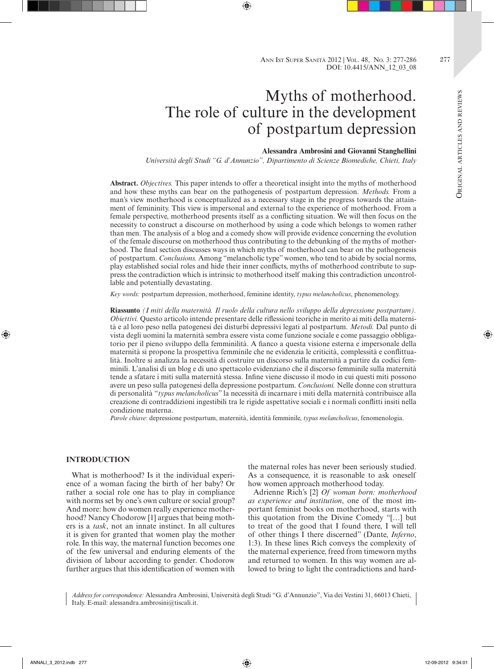# Myths of motherhood. The role of culture in the development of postpartum depression

# **Alessandra Ambrosini and Giovanni Stanghellini**

*Università degli Studi "G. d'Annunzio", Dipartimento di Scienze Biomediche, Chieti, Italy*

**Abstract.** *Objectives.* This paper intends to offer a theoretical insight into the myths of motherhood and how these myths can bear on the pathogenesis of postpartum depression. *Methods.* From a man's view motherhood is conceptualized as a necessary stage in the progress towards the attainment of femininity. This view is impersonal and external to the experience of motherhood. From a female perspective, motherhood presents itself as a conflicting situation. We will then focus on the necessity to construct a discourse on motherhood by using a code which belongs to women rather than men. The analysis of a blog and a comedy show will provide evidence concerning the evolution of the female discourse on motherhood thus contributing to the debunking of the myths of motherhood. The final section discusses ways in which myths of motherhood can bear on the pathogenesis of postpartum. *Conclusions.* Among "melancholic type" women, who tend to abide by social norms, play established social roles and hide their inner conflicts, myths of motherhood contribute to suppress the contradiction which is intrinsic to motherhood itself making this contradiction uncontrollable and potentially devastating.

*Key words:* postpartum depression, motherhood, feminine identity, *typus melancholicus*, phenomenology.

**Riassunto** *(I miti della maternità. Il ruolo della cultura nello sviluppo della depressione postpartum). Obiettivi.* Questo articolo intende presentare delle riflessioni teoriche in merito ai miti della maternità e al loro peso nella patogenesi dei disturbi depressivi legati al postpartum. *Metodi.* Dal punto di vista degli uomini la maternità sembra essere vista come funzione sociale e come passaggio obbligatorio per il pieno sviluppo della femminilità. A fianco a questa visione esterna e impersonale della maternità si propone la prospettiva femminile che ne evidenzia le criticità, complessità e conflittualità. Inoltre si analizza la necessità di costruire un discorso sulla maternità a partire da codici femminili. L'analisi di un blog e di uno spettacolo evidenziano che il discorso femminile sulla maternità tende a sfatare i miti sulla maternità stessa. Infine viene discusso il modo in cui questi miti possono avere un peso sulla patogenesi della depressione postpartum. *Conclusioni.* Nelle donne con struttura di personalità "*typus melancholicus*" la necessità di incarnare i miti della maternità contribuisce alla creazione di contraddizioni ingestibili tra le rigide aspettative sociali e i normali conflitti insiti nella condizione materna.

*Parole chiave*: depressione postpartum, maternità, identità femminile, *typus melancholicus*, fenomenologia.

### **INTRODUCTION**

What is motherhood? Is it the individual experience of a woman facing the birth of her baby? Or rather a social role one has to play in compliance with norms set by one's own culture or social group? And more: how do women really experience motherhood? Nancy Chodorow [1] argues that being mothers is a *task*, not an innate instinct. In all cultures it is given for granted that women play the mother role. In this way, the maternal function becomes one of the few universal and enduring elements of the division of labour according to gender. Chodorow further argues that this identification of women with

the maternal roles has never been seriously studied. As a consequence, it is reasonable to ask oneself how women approach motherhood today.

Adrienne Rich's [2] *Of woman born: motherhood as experience and institution*, one of the most important feminist books on motherhood, starts with this quotation from the Divine Comedy "[…] but to treat of the good that I found there, I will tell of other things I there discerned" (Dante, *Inferno*, 1:3). In these lines Rich conveys the complexity of the maternal experience, freed from timeworn myths and returned to women. In this way women are allowed to bring to light the contradictions and hard-

*Address for correspondence:* Alessandra Ambrosini, Università degli Studi "G. d'Annunzio", Via dei Vestini 31, 66013 Chieti, Italy. E-mail: alessandra.ambrosini@tiscali.it.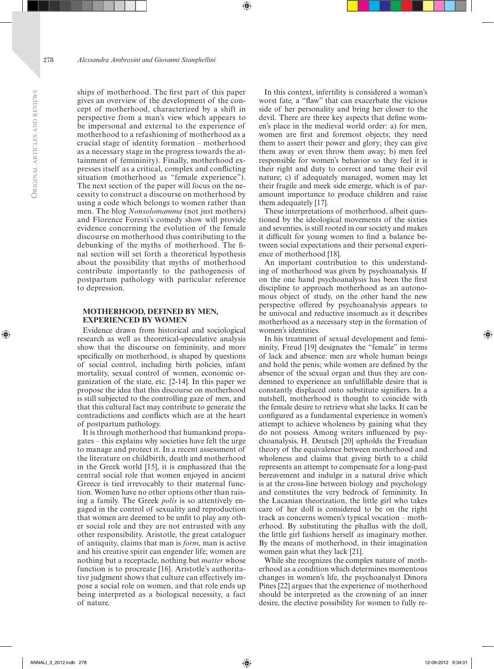ships of motherhood. The first part of this paper gives an overview of the development of the concept of motherhood, characterized by a shift in perspective from a man's view which appears to be impersonal and external to the experience of motherhood to a refashioning of motherhood as a crucial stage of identity formation – motherhood as a necessary stage in the progress towards the attainment of femininity). Finally, motherhood expresses itself as a critical, complex and conflicting situation (motherhood as "female experience"). The next section of the paper will focus on the necessity to construct a discourse on motherhood by using a code which belongs to women rather than men. The blog *Nonsolomamma* (not just mothers) and Florence Foresti's comedy show will provide evidence concerning the evolution of the female discourse on motherhood thus contributing to the debunking of the myths of motherhood. The final section will set forth a theoretical hypothesis about the possibility that myths of motherhood contribute importantly to the pathogenesis of postpartum pathology with particular reference to depression.

# **MOTHERHOOD, DEFINED BY MEN, EXPERIENCED BY WOMEN**

Evidence drawn from historical and sociological research as well as theoretical-speculative analysis show that the discourse on femininity, and more specifically on motherhood, is shaped by questions of social control, including birth policies, infant mortality, sexual control of women, economic organization of the state, etc. [2-14]. In this paper we propose the idea that this discourse on motherhood is still subjected to the controlling gaze of men, and that this cultural fact may contribute to generate the contradictions and conflicts which are at the heart of postpartum pathology.

It is through motherhood that humankind propagates – this explains why societies have felt the urge to manage and protect it. In a recent assessment of the literature on childbirth, death and motherhood in the Greek world [15], it is emphasized that the central social role that women enjoyed in ancient Greece is tied irrevocably to their maternal function. Women have no other options other than raising a family. The Greek *polis* is so attentively engaged in the control of sexuality and reproduction that women are deemed to be unfit to play any other social role and they are not entrusted with any other responsibility. Aristotle, the great cataloguer of antiquity, claims that man is *form*, man is active and his creative spirit can engender life; women are nothing but a receptacle, nothing but *matter* whose function is to procreate [16]. Aristotle's authoritative judgment shows that culture can effectively impose a social role on women, and that role ends up being interpreted as a biological necessity, a fact of nature.

In this context, infertility is considered a woman's worst fate, a "flaw" that can exacerbate the vicious side of her personality and bring her closer to the devil. There are three key aspects that define women's place in the medieval world order: a) for men, women are first and foremost objects; they need them to assert their power and glory; they can give them away or even throw them away; b) men feel responsible for women's behavior so they feel it is their right and duty to correct and tame their evil nature; c) if adequately managed, women may let their fragile and meek side emerge, which is of paramount importance to produce children and raise them adequately [17].

These interpretations of motherhood, albeit questioned by the ideological movements of the sixties and seventies, is still rooted in our society and makes it difficult for young women to find a balance between social expectations and their personal experience of motherhood [18].

An important contribution to this understanding of motherhood was given by psychoanalysis. If on the one hand psychoanalysis has been the first discipline to approach motherhood as an autonomous object of study, on the other hand the new perspective offered by psychoanalysis appears to be univocal and reductive insomuch as it describes motherhood as a necessary step in the formation of women's identities.

In his treatment of sexual development and femininity, Freud [19] designates the "female" in terms of lack and absence: men are whole human beings and hold the penis; while women are defined by the absence of the sexual organ and thus they are condemned to experience an unfulfillable desire that is constantly displaced onto substitute signifiers. In a nutshell, motherhood is thought to coincide with the female desire to retrieve what she lacks. It can be configured as a fundamental experience in women's attempt to achieve wholeness by gaining what they do not possess. Among writers influenced by psychoanalysis, H. Deutsch [20] upholds the Freudian theory of the equivalence between motherhood and wholeness and claims that giving birth to a child represents an attempt to compensate for a long-past bereavement and indulge in a natural drive which is at the cross-line between biology and psychology and constitutes the very bedrock of femininity. In the Lacanian theorization, the little girl who takes care of her doll is considered to be on the right track as concerns women's typical vocation – motherhood. By substituting the phallus with the doll, the little girl fashions herself as imaginary mother. By the means of motherhood, in their imagination women gain what they lack [21].

While she recognizes the complex nature of motherhood as a condition which determines momentous changes in women's life, the psychoanalyst Dinora Pines [22] argues that the experience of motherhood should be interpreted as the crowning of an inner desire, the elective possibility for women to fully re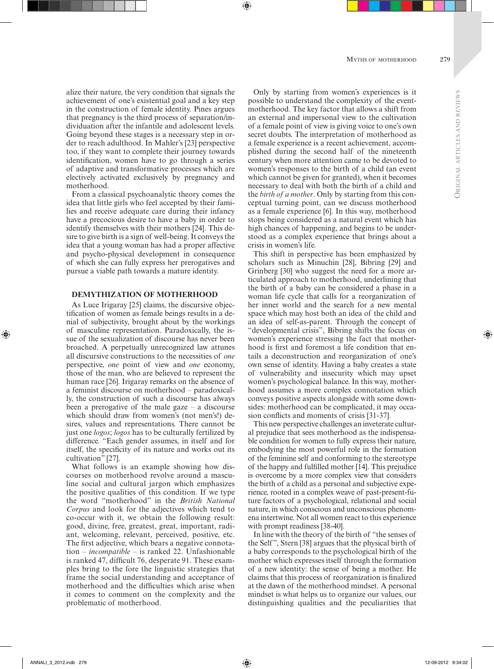alize their nature, the very condition that signals the achievement of one's existential goal and a key step in the construction of female identity. Pines argues that pregnancy is the third process of separation/individuation after the infantile and adolescent levels. Going beyond these stages is a necessary step in order to reach adulthood. In Mahler's [23] perspective too, if they want to complete their journey towards identification, women have to go through a series of adaptive and transformative processes which are electively activated exclusively by pregnancy and motherhood.

From a classical psychoanalytic theory comes the idea that little girls who feel accepted by their families and receive adequate care during their infancy have a precocious desire to have a baby in order to identify themselves with their mothers [24]. This desire to give birth is a sign of well-being. It conveys the idea that a young woman has had a proper affective and psycho-physical development in consequence of which she can fully express her prerogatives and pursue a viable path towards a mature identity.

#### **DEMYTHIZATION OF MOTHERHOOD**

As Luce Irigaray [25] claims, the discursive objectification of women as female beings results in a denial of subjectivity, brought about by the workings of masculine representation. Paradoxically, the issue of the sexualization of discourse has never been broached. A perpetually unrecognized law attunes all discursive constructions to the necessities of *one* perspective, *one* point of view and *one* economy, those of the man, who are believed to represent the human race [26]. Irigaray remarks on the absence of a feminist discourse on motherhood – paradoxically, the construction of such a discourse has always been a prerogative of the male gaze  $-$  a discourse which should draw from women's (not men's!) desires, values and representations. There cannot be just one *logos*; *logos* has to be culturally fertilized by difference. "Each gender assumes, in itself and for itself, the specificity of its nature and works out its cultivation" [27].

What follows is an example showing how discourses on motherhood revolve around a masculine social and cultural jargon which emphasizes the positive qualities of this condition. If we type the word "motherhood" in the *British National Corpus* and look for the adjectives which tend to co-occur with it, we obtain the following result: good, divine, free, greatest, great, important, radiant, welcoming, relevant, perceived, positive, etc. The first adjective, which bears a negative connotation – *incompatible* – is ranked 22. Unfashionable is ranked 47, difficult 76, desperate 91. These examples bring to the fore the linguistic strategies that frame the social understanding and acceptance of motherhood and the difficulties which arise when it comes to comment on the complexity and the problematic of motherhood.

Only by starting from women's experiences is it possible to understand the complexity of the eventmotherhood. The key factor that allows a shift from an external and impersonal view to the cultivation of a female point of view is giving voice to one's own secret doubts. The interpretation of motherhood as a female experience is a recent achievement, accomplished during the second half of the nineteenth century when more attention came to be devoted to women's responses to the birth of a child (an event which cannot be given for granted), when it becomes necessary to deal with both the birth of a child and the *birth of a mother*. Only by starting from this conceptual turning point, can we discuss motherhood as a female experience [6]. In this way, motherhood stops being considered as a natural event which has high chances of happening, and begins to be understood as a complex experience that brings about a crisis in women's life.

This shift in perspective has been emphasized by scholars such as Minuchin [28], Bibring [29] and Grinberg [30] who suggest the need for a more articulated approach to motherhood, underlining that the birth of a baby can be considered a phase in a woman life cycle that calls for a reorganization of her inner world and the search for a new mental space which may host both an idea of the child and an idea of self-as-parent. Through the concept of "developmental crisis", Bibring shifts the focus on women's experience stressing the fact that motherhood is first and foremost a life condition that entails a deconstruction and reorganization of one's own sense of identity. Having a baby creates a state of vulnerability and insecurity which may upset women's psychological balance. In this way, motherhood assumes a more complex connotation which conveys positive aspects alongside with some downsides: motherhood can be complicated, it may occasion conflicts and moments of crisis [31-37].

This new perspective challenges an inveterate cultural prejudice that sees motherhood as the indispensable condition for women to fully express their nature, embodying the most powerful role in the formation of the feminine self and conforming to the stereotype of the happy and fulfilled mother [14]. This prejudice is overcome by a more complex view that considers the birth of a child as a personal and subjective experience, rooted in a complex weave of past-present-future factors of a psychological, relational and social nature, in which conscious and unconscious phenomena intertwine. Not all women react to this experience with prompt readiness [38-40].

In line with the theory of the birth of "the senses of the Self", Stern [38] argues that the physical birth of a baby corresponds to the psychological birth of the mother which expresses itself through the formation of a new identity: the sense of being a mother. He claims that this process of reorganization is finalized at the dawn of the motherhood mindset. A personal mindset is what helps us to organize our values, our distinguishing qualities and the peculiarities that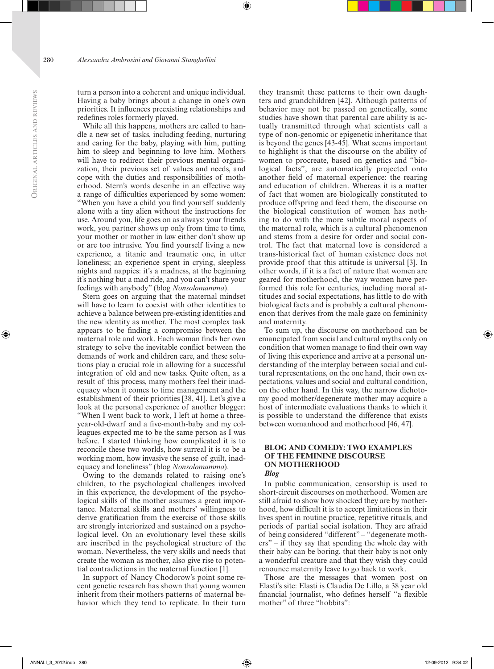turn a person into a coherent and unique individual. Having a baby brings about a change in one's own priorities. It influences preexisting relationships and redefines roles formerly played.

While all this happens, mothers are called to handle a new set of tasks, including feeding, nurturing and caring for the baby, playing with him, putting him to sleep and beginning to love him. Mothers will have to redirect their previous mental organization, their previous set of values and needs, and cope with the duties and responsibilities of motherhood. Stern's words describe in an effective way a range of difficulties experienced by some women: "When you have a child you find yourself suddenly alone with a tiny alien without the instructions for use. Around you, life goes on as always: your friends work, you partner shows up only from time to time, your mother or mother in law either don't show up or are too intrusive. You find yourself living a new experience, a titanic and traumatic one, in utter loneliness; an experience spent in crying, sleepless nights and nappies: it's a madness, at the beginning it's nothing but a mad ride, and you can't share your feelings with anybody" (blog *Nonsolomamma*).

Stern goes on arguing that the maternal mindset will have to learn to coexist with other identities to achieve a balance between pre-existing identities and the new identity as mother. The most complex task appears to be finding a compromise between the maternal role and work. Each woman finds her own strategy to solve the inevitable conflict between the demands of work and children care, and these solutions play a crucial role in allowing for a successful integration of old and new tasks. Quite often, as a result of this process, many mothers feel their inadequacy when it comes to time management and the establishment of their priorities [38, 41]. Let's give a look at the personal experience of another blogger: "When I went back to work, I left at home a threeyear-old-dwarf and a five-month-baby and my colleagues expected me to be the same person as I was before. I started thinking how complicated it is to reconcile these two worlds, how surreal it is to be a working mom, how invasive the sense of guilt, inadequacy and loneliness" (blog *Nonsolomamma*).

Owing to the demands related to raising one's children, to the psychological challenges involved in this experience, the development of the psychological skills of the mother assumes a great importance. Maternal skills and mothers' willingness to derive gratification from the exercise of those skills are strongly interiorized and sustained on a psychological level. On an evolutionary level these skills are inscribed in the psychological structure of the woman. Nevertheless, the very skills and needs that create the woman as mother, also give rise to potential contradictions in the maternal function [1].

In support of Nancy Chodorow's point some recent genetic research has shown that young women inherit from their mothers patterns of maternal behavior which they tend to replicate. In their turn

they transmit these patterns to their own daughters and grandchildren [42]. Although patterns of behavior may not be passed on genetically, some studies have shown that parental care ability is actually transmitted through what scientists call a type of non-genomic or epigenetic inheritance that is beyond the genes [43-45]. What seems important to highlight is that the discourse on the ability of women to procreate, based on genetics and "biological facts", are automatically projected onto another field of maternal experience: the rearing and education of children. Whereas it is a matter of fact that women are biologically constituted to produce offspring and feed them, the discourse on the biological constitution of women has nothing to do with the more subtle moral aspects of the maternal role, which is a cultural phenomenon and stems from a desire for order and social control. The fact that maternal love is considered a trans-historical fact of human existence does not provide proof that this attitude is universal [3]. In other words, if it is a fact of nature that women are geared for motherhood, the way women have performed this role for centuries, including moral attitudes and social expectations, has little to do with biological facts and is probably a cultural phenomenon that derives from the male gaze on femininity and maternity.

To sum up, the discourse on motherhood can be emancipated from social and cultural myths only on condition that women manage to find their own way of living this experience and arrive at a personal understanding of the interplay between social and cultural representations, on the one hand, their own expectations, values and social and cultural condition, on the other hand. In this way, the narrow dichotomy good mother/degenerate mother may acquire a host of intermediate evaluations thanks to which it is possible to understand the difference that exists between womanhood and motherhood [46, 47].

# **BLOG AND COMEDY: TWO EXAMPLES OF THE FEMININE DISCOURSE ON MOTHERHOOD**

#### *Blog*

In public communication, censorship is used to short-circuit discourses on motherhood. Women are still afraid to show how shocked they are by motherhood, how difficult it is to accept limitations in their lives spent in routine practice, repetitive rituals, and periods of partial social isolation. They are afraid of being considered "different" – "degenerate mothers" – if they say that spending the whole day with their baby can be boring, that their baby is not only a wonderful creature and that they wish they could renounce maternity leave to go back to work.

Those are the messages that women post on Elasti's site: Elasti is Claudia De Lillo, a 38 year old financial journalist, who defines herself "a flexible mother" of three "hobbits":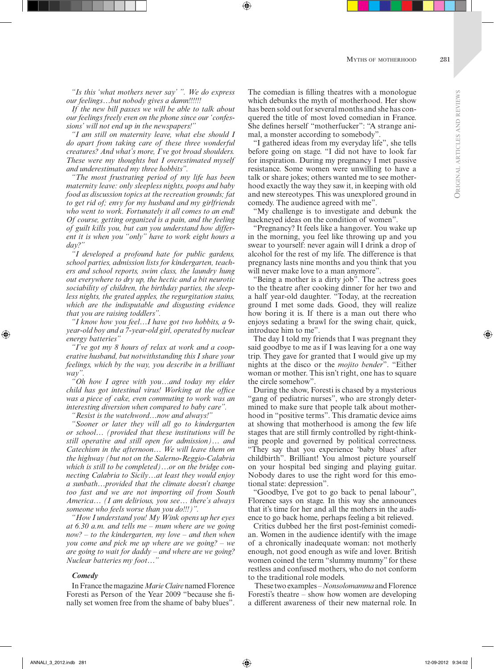*"Is this 'what mothers never say' ". We do express our feelings…but nobody gives a damn!!!!!!*

*If the new bill passes we will be able to talk about our feelings freely even on the phone since our 'confessions' will not end up in the newspapers!"*

*"I am still on maternity leave, what else should I do apart from taking care of these three wonderful creatures? And what's more, I've got broad shoulders. These were my thoughts but I overestimated myself and underestimated my three hobbits".*

*"The most frustrating period of my life has been maternity leave: only sleepless nights, poops and baby food as discussion topics at the recreation grounds; fat to get rid of; envy for my husband and my girlfriends who went to work. Fortunately it all comes to an end! Of course, getting organized is a pain, and the feeling of guilt kills you, but can you understand how different it is when you "only" have to work eight hours a day?"*

*"I developed a profound hate for public gardens, school parties, admission lists for kindergarten, teachers and school reports, swim class, the laundry hung out everywhere to dry up, the hectic and a bit neurotic sociability of children, the birthday parties, the sleepless nights, the grated apples, the regurgitation stains, which are the indisputable and disgusting evidence that you are raising toddlers".*

*"I know how you feel…I have got two hobbits, a 9 year-old boy and a 7-year-old girl, operated by nuclear energy batteries"*

*"I've got my 8 hours of relax at work and a cooperative husband, but notwithstanding this I share your feelings, which by the way, you describe in a brilliant way".*

*"Oh how I agree with you…and today my elder child has got intestinal virus! Working at the office was a piece of cake, even commuting to work was an interesting diversion when compared to baby care".* 

*"Resist is the watchword…now and always!"*

*"Sooner or later they will all go to kindergarten or school… (provided that these institutions will be still operative and still open for admission)… and Catechism in the afternoon… We will leave them on the highway (but not on the Salerno-Reggio-Calabria which is still to be completed)…or on the bridge connecting Calabria to Sicily…at least they would enjoy a sunbath…provided that the climate doesn't change too fast and we are not importing oil from South America… (I am delirious, you see… there's always someone who feels worse than you do!!!)".*

*"How I understand you! My Wink opens up her eyes at 6.30 a.m. and tells me – mum where are we going now? – to the kindergarten, my love – and then when you come and pick me up where are we going? – we are going to wait for daddy – and where are we going? Nuclear batteries my foot…"*

#### *Comedy*

In France the magazine *Marie Claire* named Florence Foresti as Person of the Year 2009 "because she finally set women free from the shame of baby blues".

The comedian is filling theatres with a monologue which debunks the myth of motherhood. Her show has been sold out for several months and she has conquered the title of most loved comedian in France. She defines herself "motherfucker": "A strange animal, a monster according to somebody".

"I gathered ideas from my everyday life", she tells before going on stage. "I did not have to look far for inspiration. During my pregnancy I met passive resistance. Some women were unwilling to have a talk or share jokes; others wanted me to see motherhood exactly the way they saw it, in keeping with old and new stereotypes. This was unexplored ground in comedy. The audience agreed with me".

"My challenge is to investigate and debunk the hackneyed ideas on the condition of women".

"Pregnancy? It feels like a hangover. You wake up in the morning, you feel like throwing up and you swear to yourself: never again will I drink a drop of alcohol for the rest of my life. The difference is that pregnancy lasts nine months and you think that you will never make love to a man anymore".

"Being a mother is a dirty job". The actress goes to the theatre after cooking dinner for her two and a half year-old daughter. "Today, at the recreation ground I met some dads. Good, they will realize how boring it is. If there is a man out there who enjoys sedating a brawl for the swing chair, quick, introduce him to me".

The day I told my friends that I was pregnant they said goodbye to me as if I was leaving for a one way trip. They gave for granted that I would give up my nights at the disco or the *mojito bender*". "Either woman or mother. This isn't right, one has to square the circle somehow".

During the show, Foresti is chased by a mysterious "gang of pediatric nurses", who are strongly determined to make sure that people talk about motherhood in "positive terms". This dramatic device aims at showing that motherhood is among the few life stages that are still firmly controlled by right-thinking people and governed by political correctness. "They say that you experience 'baby blues' after childbirth". Brilliant! You almost picture yourself on your hospital bed singing and playing guitar. Nobody dares to use the right word for this emotional state: depression".

"Goodbye, I've got to go back to penal labour", Florence says on stage. In this way she announces that it's time for her and all the mothers in the audience to go back home, perhaps feeling a bit relieved.

Critics dubbed her the first post-feminist comedian. Women in the audience identify with the image of a chronically inadequate woman: not motherly enough, not good enough as wife and lover. British women coined the term "slummy mummy" for these restless and confused mothers, who do not conform to the traditional role models.

 These two examples – *Nonsolomamma* and Florence Foresti's theatre – show how women are developing a different awareness of their new maternal role. In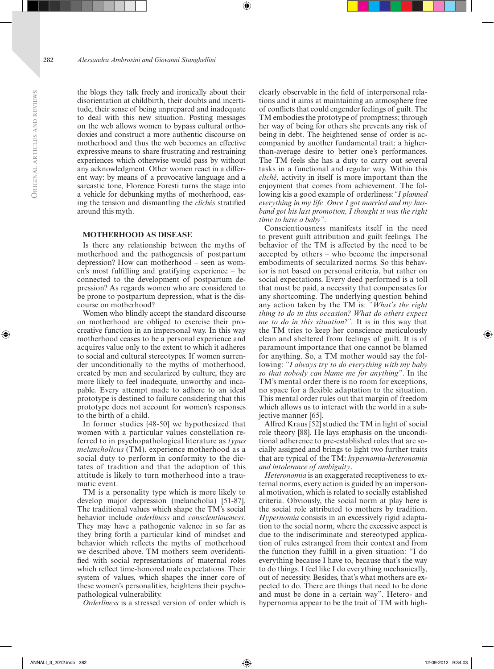the blogs they talk freely and ironically about their disorientation at childbirth, their doubts and incertitude, their sense of being unprepared and inadequate to deal with this new situation. Posting messages on the web allows women to bypass cultural orthodoxies and construct a more authentic discourse on motherhood and thus the web becomes an effective expressive means to share frustrating and restraining experiences which otherwise would pass by without any acknowledgment. Other women react in a different way: by means of a provocative language and a sarcastic tone, Florence Foresti turns the stage into a vehicle for debunking myths of motherhood, easing the tension and dismantling the *clichés* stratified around this myth.

## **MOTHERHOOD AS DISEASE**

Is there any relationship between the myths of motherhood and the pathogenesis of postpartum depression? How can motherhood – seen as women's most fulfilling and gratifying experience – be connected to the development of postpartum depression? As regards women who are considered to be prone to postpartum depression, what is the discourse on motherhood?

Women who blindly accept the standard discourse on motherhood are obliged to exercise their procreative function in an impersonal way. In this way motherhood ceases to be a personal experience and acquires value only to the extent to which it adheres to social and cultural stereotypes. If women surrender unconditionally to the myths of motherhood, created by men and secularized by culture, they are more likely to feel inadequate, unworthy and incapable. Every attempt made to adhere to an ideal prototype is destined to failure considering that this prototype does not account for women's responses to the birth of a child.

In former studies [48-50] we hypothesized that women with a particular values constellation referred to in psychopathological literature as *typus melancholicus* (TM), experience motherhood as a social duty to perform in conformity to the dictates of tradition and that the adoption of this attitude is likely to turn motherhood into a traumatic event.

TM is a personality type which is more likely to develop major depression (melancholia) [51-87]. The traditional values which shape the TM's social behavior include *orderliness* and *conscientiousness*. They may have a pathogenic valence in so far as they bring forth a particular kind of mindset and behavior which reflects the myths of motherhood we described above. TM mothers seem overidentified with social representations of maternal roles which reflect time-honored male expectations. Their system of values, which shapes the inner core of these women's personalities, heightens their psychopathological vulnerability.

*Orderliness* is a stressed version of order which is

clearly observable in the field of interpersonal relations and it aims at maintaining an atmosphere free of conflicts that could engender feelings of guilt. The TM embodies the prototype of promptness; through her way of being for others she prevents any risk of being in debt. The heightened sense of order is accompanied by another fundamental trait: a higherthan-average desire to better one's performances. The TM feels she has a duty to carry out several tasks in a functional and regular way. Within this *cliché*, activity in itself is more important than the enjoyment that comes from achievement. The following kis a good example of orderliness:*"I planned everything in my life. Once I got married and my husband got his last promotion, I thought it was the right time to have a baby"*.

Conscientiousness manifests itself in the need to prevent guilt attribution and guilt feelings. The behavior of the TM is affected by the need to be accepted by others – who become the impersonal embodiments of secularized norms. So this behavior is not based on personal criteria, but rather on social expectations. Every deed performed is a toll that must be paid, a necessity that compensates for any shortcoming. The underlying question behind any action taken by the TM is: *"What's the right thing to do in this occasion? What do others expect me to do in this situation?".* It is in this way that the TM tries to keep her conscience meticulously clean and sheltered from feelings of guilt. It is of paramount importance that one cannot be blamed for anything. So, a TM mother would say the following: *"I always try to do everything with my baby so that nobody can blame me for anything"*. In the TM's mental order there is no room for exceptions, no space for a flexible adaptation to the situation. This mental order rules out that margin of freedom which allows us to interact with the world in a subjective manner [65].

Alfred Kraus [52] studied the TM in light of social role theory [88]. He lays emphasis on the unconditional adherence to pre-established roles that are socially assigned and brings to light two further traits that are typical of the TM: *hypernomia-heteronomia and intolerance of ambiguity*.

*Heteronomia* is an exaggerated receptiveness to external norms, every action is guided by an impersonal motivation, which is related to socially established criteria. Obviously, the social norm at play here is the social role attributed to mothers by tradition. *Hypernomia* consists in an excessively rigid adaptation to the social norm, where the excessive aspect is due to the indiscriminate and stereotyped application of rules estranged from their context and from the function they fulfill in a given situation: "I do everything because I have to, because that's the way to do things. I feel like I do everything mechanically, out of necessity. Besides, that's what mothers are expected to do. There are things that need to be done and must be done in a certain way". Hetero- and hypernomia appear to be the trait of TM with high-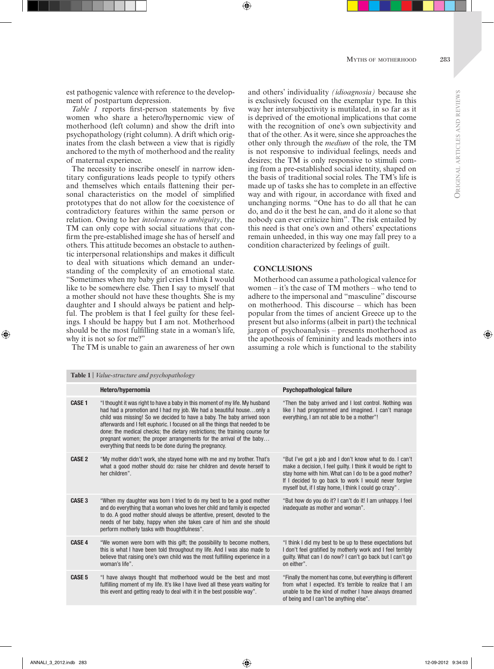**ORIGIN** 

est pathogenic valence with reference to the development of postpartum depression.

*Table 1* reports first-person statements by five women who share a hetero/hypernomic view of motherhood (left column) and show the drift into psychopathology (right column). A drift which originates from the clash between a view that is rigidly anchored to the myth of motherhood and the reality of maternal experience.

The necessity to inscribe oneself in narrow identitary configurations leads people to typify others and themselves which entails flattening their personal characteristics on the model of simplified prototypes that do not allow for the coexistence of contradictory features within the same person or relation. Owing to her *intolerance to ambiguity*, the TM can only cope with social situations that confirm the pre-established image she has of herself and others. This attitude becomes an obstacle to authentic interpersonal relationships and makes it difficult to deal with situations which demand an understanding of the complexity of an emotional state. "Sometimes when my baby girl cries I think I would like to be somewhere else. Then I say to myself that a mother should not have these thoughts. She is my daughter and I should always be patient and helpful. The problem is that I feel guilty for these feelings. I should be happy but I am not. Motherhood should be the most fulfilling state in a woman's life, why it is not so for me?"

The TM is unable to gain an awareness of her own

and others' individuality *(idioagnosia)* because she is exclusively focused on the exemplar type. In this way her intersubjectivity is mutilated, in so far as it is deprived of the emotional implications that come with the recognition of one's own subjectivity and that of the other. As it were, since she approaches the other only through the *medium* of the role, the TM is not responsive to individual feelings, needs and desires; the TM is only responsive to stimuli coming from a pre-established social identity, shaped on the basis of traditional social roles. The TM's life is made up of tasks she has to complete in an effective way and with rigour, in accordance with fixed and unchanging norms. "One has to do all that he can do, and do it the best he can, and do it alone so that nobody can ever criticize him". The risk entailed by this need is that one's own and others' expectations remain unheeded, in this way one may fall prey to a condition characterized by feelings of guilt.

# **CONCLUSIONS**

Motherhood can assume a pathological valence for women – it's the case of TM mothers – who tend to adhere to the impersonal and "masculine" discourse on motherhood. This discourse – which has been popular from the times of ancient Greece up to the present but also informs (albeit in part) the technical jargon of psychoanalysis – presents motherhood as the apotheosis of femininity and leads mothers into assuming a role which is functional to the stability

| <b>Table 1</b>   Value-structure and psychopathology |                                                                                                                                                                                                                                                                                                                                                                                                                                                                                                                                 |                                                                                                                                                                                                                                                                                                       |
|------------------------------------------------------|---------------------------------------------------------------------------------------------------------------------------------------------------------------------------------------------------------------------------------------------------------------------------------------------------------------------------------------------------------------------------------------------------------------------------------------------------------------------------------------------------------------------------------|-------------------------------------------------------------------------------------------------------------------------------------------------------------------------------------------------------------------------------------------------------------------------------------------------------|
|                                                      | Hetero/hypernomia                                                                                                                                                                                                                                                                                                                                                                                                                                                                                                               | <b>Psychopathological failure</b>                                                                                                                                                                                                                                                                     |
| <b>CASE 1</b>                                        | "I thought it was right to have a baby in this moment of my life. My husband<br>had had a promotion and I had my job. We had a beautiful houseonly a<br>child was missing! So we decided to have a baby. The baby arrived soon<br>afterwards and I felt euphoric. I focused on all the things that needed to be<br>done: the medical checks; the dietary restrictions; the training course for<br>pregnant women; the proper arrangements for the arrival of the baby<br>everything that needs to be done during the pregnancy. | "Then the baby arrived and I lost control. Nothing was<br>like I had programmed and imagined. I can't manage<br>everything, I am not able to be a mother"!                                                                                                                                            |
| <b>CASE 2</b>                                        | "My mother didn't work, she stayed home with me and my brother. That's<br>what a good mother should do: raise her children and devote herself to<br>her children".                                                                                                                                                                                                                                                                                                                                                              | "But I've got a job and I don't know what to do. I can't<br>make a decision, I feel guilty. I think it would be right to<br>stay home with him. What can I do to be a good mother?<br>If I decided to go back to work I would never forgive<br>myself but, if I stay home, I think I could go crazy". |
| CASE <sub>3</sub>                                    | "When my daughter was born I tried to do my best to be a good mother<br>and do everything that a woman who loves her child and family is expected<br>to do. A good mother should always be attentive, present, devoted to the<br>needs of her baby, happy when she takes care of him and she should<br>perform motherly tasks with thoughtfulness".                                                                                                                                                                             | "But how do you do it? I can't do it! I am unhappy. I feel<br>inadequate as mother and woman".                                                                                                                                                                                                        |
| <b>CASE 4</b>                                        | "We women were born with this gift; the possibility to become mothers,<br>this is what I have been told throughout my life. And I was also made to<br>believe that raising one's own child was the most fulfilling experience in a<br>woman's life".                                                                                                                                                                                                                                                                            | "I think I did my best to be up to these expectations but<br>I don't feel gratified by motherly work and I feel terribly<br>quilty. What can I do now? I can't go back but I can't go<br>on either".                                                                                                  |
| CASE <sub>5</sub>                                    | "I have always thought that motherhood would be the best and most<br>fulfilling moment of my life. It's like I have lived all these years waiting for<br>this event and getting ready to deal with it in the best possible way".                                                                                                                                                                                                                                                                                                | "Finally the moment has come, but everything is different<br>from what I expected. It's terrible to realize that I am<br>unable to be the kind of mother I have always dreamed<br>of being and I can't be anything else".                                                                             |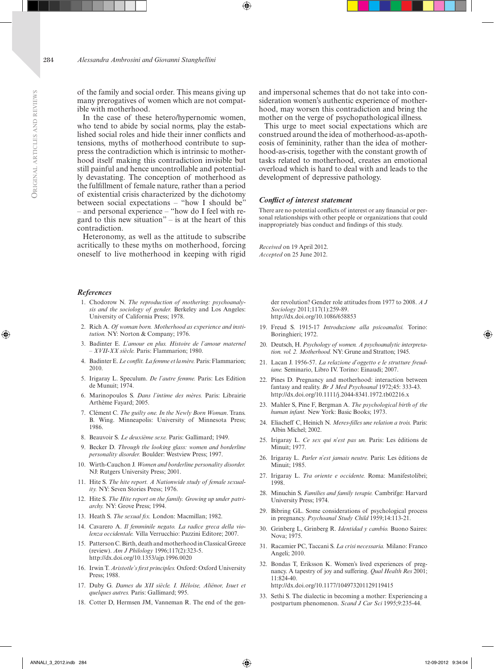of the family and social order. This means giving up many prerogatives of women which are not compatible with motherhood.

In the case of these hetero/hypernomic women, who tend to abide by social norms, play the established social roles and hide their inner conflicts and tensions, myths of motherhood contribute to suppress the contradiction which is intrinsic to motherhood itself making this contradiction invisible but still painful and hence uncontrollable and potentially devastating. The conception of motherhood as the fulfillment of female nature, rather than a period of existential crisis characterized by the dichotomy between social expectations – "how I should be" – and personal experience – "how do I feel with regard to this new situation" – is at the heart of this contradiction.

Heteronomy, as well as the attitude to subscribe acritically to these myths on motherhood, forcing oneself to live motherhood in keeping with rigid

#### *References*

- 1. Chodorow N. *The reproduction of mothering: psychoanalysis and the sociology of gender.* Berkeley and Los Angeles: University of California Press; 1978.
- 2. Rich A. *Of woman born. Motherhood as experience and institution.* NY: Norton & Company; 1976.
- 3. Badinter E. *L'amour en plus. Histoire de l'amour maternel – XVII-XX siècle.* Paris: Flammarion; 1980.
- 4. Badinter E. *Le conflit. La femme et la mère.* Paris: Flammarion; 2010.
- 5. Irigaray L. Speculum. *De l'autre femme.* Paris: Les Edition de Munuit; 1974.
- 6. Marinopoulos S. *Dans l'intime des mères.* Paris: Librairie Arthème Fayard; 2005.
- 7. Clément C. *The guilty one. In the Newly Born Woman*. Trans. B. Wing. Minneapolis: University of Minnesota Press; 1986.
- 8. Beauvoir S. *Le deuxième sexe.* Paris: Gallimard; 1949.
- 9. Becker D. *Through the looking glass: women and borderline personality disorder.* Boulder: Westview Press; 1997.
- 10. Wirth-Cauchon J. *Women and borderline personality disorder.*  NJ: Rutgers University Press; 2001.
- 11. Hite S. *The hite report. A Nationwide study of female sexuality.* NY: Seven Stories Press; 1976.
- 12. Hite S. *The Hite report on the family. Growing up under patriarchy.* NY: Grove Press; 1994.
- 13. Heath S. *The sexual fix.* London: Macmillan; 1982.
- 14. Cavarero A. *Il femminile negato. La radice greca della violenza occidentale.* Villa Verrucchio: Pazzini Editore; 2007.
- 15. Patterson C. Birth, death and motherhood in Classical Greece (review). *Am J Philology* 1996;117(2):323-5. <http://dx.doi.org/10.1353/ajp.1996.0020>
- 16. Irwin T. *Aristotle's first principles.* Oxford: Oxford University Press; 1988.
- 17. Duby G. *Dames du XII siècle. I. Héloise, Aliénor, Isuet et quelques autres.* Paris: Gallimard; 995.
- 18. Cotter D, Hermsen JM, Vanneman R. The end of the gen-

and impersonal schemes that do not take into consideration women's authentic experience of motherhood, may worsen this contradiction and bring the mother on the verge of psychopathological illness.

This urge to meet social expectations which are construed around the idea of motherhood-as-apotheosis of femininity, rather than the idea of motherhood-as-crisis, together with the constant growth of tasks related to motherhood, creates an emotional overload which is hard to deal with and leads to the development of depressive pathology.

#### *Conflict of interest statement*

There are no potential conflicts of interest or any financial or personal relationships with other people or organizations that could inappropriately bias conduct and findings of this study.

*Received* on 19 April 2012. *Accepted* on 25 June 2012.

> der revolution? Gender role attitudes from 1977 to 2008. *A J Sociology* 2011;117(1):259-89. <http://dx.doi.org/10.1086/658853>

- 19. Freud S. 1915-17 *Introduzione alla psicoanalisi.* Torino: Boringhieri; 1972.
- 20. Deutsch, H. *Psychology of women. A psychoanalytic interpretation. vol. 2. Motherhood.* NY: Grune and Stratton; 1945.
- 21. Lacan J. 1956-57. *La relazione d'oggetto e le strutture freudiane.* Seminario, Libro IV. Torino: Einaudi; 2007.
- 22. Pines D. Pregnancy and motherhood: interaction between fantasy and reality. *Br J Med Psychoanal* 1972;45: 333-43. [http://dx.doi.org/10.1111/j.2044-8341.1972.tb02216.x](http://dx.doi.org/10.1111%2Fj.2044-8341.1972.tb02216.x)
- 23. Mahler S, Pine F, Bergman A. *The psychological birth of the human infant.* New York: Basic Books; 1973.
- 24. Eliacheff C, Heinich N. *Meres-filles une relation a trois.* Paris: Albin Michel; 2002.
- 25. Irigaray L. *Ce sex qui n'est pas un.* Paris: Les éditions de Minuit; 1977.
- 26. Irigaray L. *Parler n'est jamais neutre.* Paris: Les éditions de Minuit; 1985.
- 27. Irigaray L. *Tra oriente e occidente.* Roma: Manifestolibri; 1998.
- 28. Minuchin S. *Families and family terapie.* Cambrifge: Harvard University Press; 1974.
- 29. Bibring GL. Some considerations of psychological process in pregnancy. *Psychoanal Study Child* 1959;14:113-21.
- 30. Grinberg L, Grinberg R. *Identidad y cambio.* Buono Saires: Nova; 1975.
- 31. Racamier PC, Taccani S. *La crisi necessaria.* Milano: Franco Angeli; 2010.
- 32. Bondas T, Eriksson K. Women's lived experiences of pregnancy. A tapestry of joy and suffering. *Qual Health Res* 2001; 11:824-40. <http://dx.doi.org/10.1177/104973201129119415>
- 33. Sethi S. The dialectic in becoming a mother: Experiencing a postpartum phenomenon. *Scand J Car Sci* 1995;9:235-44.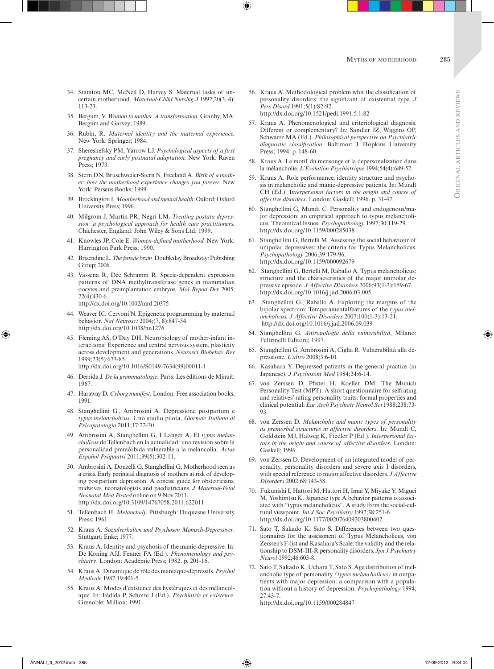- 34. Stainton MC, McNeil D, Harvey S. Maternal tasks of uncertain motherhood. *Maternal-Child Nursing J* 1992;20(3, 4): 113-23.
- 35. Bergum, V. *Woman to mother. A transformation.* Granby, MA: Bergum and Garvey; 1989.
- 36. Rubin, R. *Maternal identity and the maternal experience.*  New York: Springer; 1984.
- 37. Shereshefsky PM, Yarrow LJ. *Psychological aspects of a first pregnancy and early postnatal adaptation.* New York: Raven Press; 1973.
- 38. Stern DN, Bruschweiler-Stern N. Freeland A. *Birth of a mother: how the motherhood experience changes you forever.* New York: Perseus Books; 1999.
- 39. Brockington I. *Mootherhood and mental health.* Oxford: Oxford University Press; 1996.
- 40. Milgrom J, Martin PR, Negri LM. *Treating postata depression: a psychological approach for health care practitioners.*  Chichester, England: John Wiley & Sons Ltd; 1999.
- 41. Knowles JP, Cole E. *Women-defined motherhood.* New York: Harrington Park Press; 1990.
- 42. Brizendine L. *The female brain.* Doubleday Broadway: Pubishing Group; 2006.
- 43. Vassena R, Dee Schramm R. Specie-dependent expression patterns of DNA methyltransferase genes in mammalian oocytes and preimplantation embryos. *Mol Repod Dev* 2005; 72(4):430-6. [http://dx.doi.org/10.1002/mrd.20375](http://dx.doi.org/10.1002%2Fmrd.20375)
- 44. Weaver IC, Cervoni N. Epigenetic programming by maternal behavior. *Nat Neurosci* 2004;(7, 8):847-54. [http://dx.doi.org/10.1038/nn1276](http://dx.doi.org/10.1038%2Fnn1276)
- 45. Fleming AS, O'Day DH. Neurobiology of mother-infant interactions: Experience and central nervous system, plasticity across development and generations. *Neurosci Biobehav Rev* 1999;23(5):673-85. [http://dx.doi.org/10.1016/S0149-7634\(99\)00011-1](http://dx.doi.org/10.1016/S0149-7634(99)00011-1)
- 46. Derrida J. *De la grammatologie*, Paris: Les éditions de Minuit; 1967.
- 47. Haraway D. *Cyborg manifest*, London: Free association books; 1991.
- 48. Stanghellini G., Ambrosini A. Depressione postpartum e *typus melancholicus*. Uno studio pilota, *Giornale Italiano di Psicopatologia* 2011;17:22-30.
- 49. Ambrosini A, Stanghellini G, I Langer A. El *typus melancholicus* de Tellenbach en la actualidad: una revisión sobre la personalidad premórbida vulnerable a la melancolía. *Actas Español Psiquiatrí* 2011;39(5):302-11.
- 50. Ambrosini A, Donzelli G, Stanghellini G, Motherhood seen as a crisis. Early perinatal diagnosis of mothers at risk of developing postpartum depression. A concise guide for obstetricians, midwives, neonatologists and paediatricians. *J Maternal-Fetal Neonatal Med Posted* online on 9 Nov 2011. <http://dx.doi.org/10.3109/14767058.2011.622011>
- 51. Tellenbach H. *Melancholy.* Pittsburgh: Duquesne University Press; 1961.
- 52. Kraus A. *Sozialverhalten und Psychosen Manisch-Depressiver*. Stuttgart: Enke; 1977.
- 53. Kraus A. Identity and psychosis of the manic-depressive. In: De Koning AJJ, Fenner FA (Ed.). *Phenomenology and psychiatry*. London: Academic Press; 1982. p. 201-16.
- 54. Kraus A. Dinamique de rôle des maniaque-dépressifs. *Psychol Medicale* 1987;19:401-5.
- 55. Kraus A. Modes d'existence des hystériques et des mélancolique. In: Fédida P, Schotte J (Ed.). *Psychiatrie et existence*. Grenoble: Million; 1991.
- 56. Kraus A. Methodological problem whit the classification of personality disorders: the significant of existential type. *J Pers Disord* 1991;5(1):82-92. [http://dx.doi.org/10.1521/pedi.1991.5.1.82](http://dx.doi.org/10.1521%2Fpedi.1991.5.1.82)
- 57. Kraus A. Phenomenological and criteriological diagnosis. Different or complementary? In: Sandler JZ, Wiggins OP, Schwartz MA (Ed.). *Philosophical perspective on Psychiatric diagnostic classification.* Baltimor: J. Hopkins University Press; 1994. p. 148-60.
- 58. Kraus A. Le motif du mensonge et la depersonalization dans la mélancholie. *L'Evolution Psychiatrique* 1994;54(4):649-57.
- 59. Kraus A. Role performance, identity structure and psychosis in melancholic and manic-depressive patients. In: Mundt CH (Ed.). I*nterpersonal factors in the origin and course of affective disorders*. London: Gaskell; 1996. p. 31-47.
- 60. Stanghellini G, Mundt C. Personality and endogenous/major depression: an empirical approach to typus melancholicus. Theoretical Issues. *Psychopathology* 1997;30:119-29. [http://dx.doi.org/10.1159/000285038](http://dx.doi.org/10.1159%2F000285038)
- 61. Stanghellini G, Bertelli M. Assessing the social behaviour of unipolar depressives: the criteria for Typus Melancholicus. *Psychopathology* 2006;39:179-96. [http://dx.doi.org/10.1159/000092679](http://dx.doi.org/10.1159%2F000092679)
- 62. Stanghellini G, Bertelli M, Raballo A. Typus melancholicus: structure and the characteristics of the major unipolar depressive episode. *J Affective Disorders* 2006;93(1-3):159-67. [http://dx.doi.org/10.1016/j.jad.2006.03.005](http://dx.doi.org/10.1016%2Fj.jad.2006.03.005)
- 63. Stanghellini G., Raballo A. Exploring the margins of the bipolar spectrum: Temperamentalfeatures of the *typus melancholicus. J Affective Disorders* 2007;100(1-3):13-21. [http://dx.doi.org/10.1016/j.jad.2006.09.039](http://dx.doi.org/10.1016%2Fj.jad.2006.09.039)
- 64. Stanghellini G. *Antropologia della vulnerabilità*, Milano: Feltrinelli Editore; 1997.
- 65. Stanghellini G, Ambrosini A, Ciglia R. Vulnerabilità alla depressione. *L'altro* 2008;3:6-10.
- 66. Kasahara Y. Depressed patients in the general practice (in Japanese). *J Psychosom Med* 1984;24:6-14.
- 67. von Zerssen D, Pfister H, Koeller DM. The Munich Personality Test (MPT). A short questionnaire for selfrating and relatives' rating personality traits: formal properties and clinical potential. *Eur Arch Psychiatr Neurol Sci* 1988;238:73- 93.
- 68. von Zerssen D. *Melancholic and manic types of personality as premorbid structures in affective disorders*. In: Mundt C, Goldstein MJ, Halweg K, Fiedler P (Ed.). *Interpersonal factors in the origin and course of affective disorders*. London: Gaskell; 1996.
- 69. von Zerssen D. Development of an integrated model of personality, personality disorders and severe axis I disorders, with special reference to major affective disorders. *J Affective Disorders* 2002;68:143-58.
- 70. Fukunishi I, Hattori M, Hattori H, Imai Y, Miyake Y, Miguci M, Yoshimtsu K. Japanese type A behavior patterns is associated with "typus melancholicus". A study from the social-cultural viewpoint. *Int J Soc Psychiatry* 1992;38:251-6. [http://dx.doi.org/10.1177/002076409203800402](http://dx.doi.org/10.1177%2F002076409203800402)
- 71. Sato T, Sakado K, Sato S. Differences between two questionnaires for the assessment of Typus Melancholicus, von Zerssen's F-list and Kasahara's Scale: the validity and the relationship to DSM-III-R personality disorders. *Jpn J Psychiatry Neurol* 1992;46:603-8.
- 72. Sato T, Sakado K, Uehara T, Sato S. Age distribution of melancholic type of personality *(typus melancholicus)* in outpatients with major depression: a comparison with a population without a history of depression. *Psychopathology* 1994; 27:43-7.

[http://dx.doi.org/10.1159/000284847](http://dx.doi.org/10.1159%2F000284847)